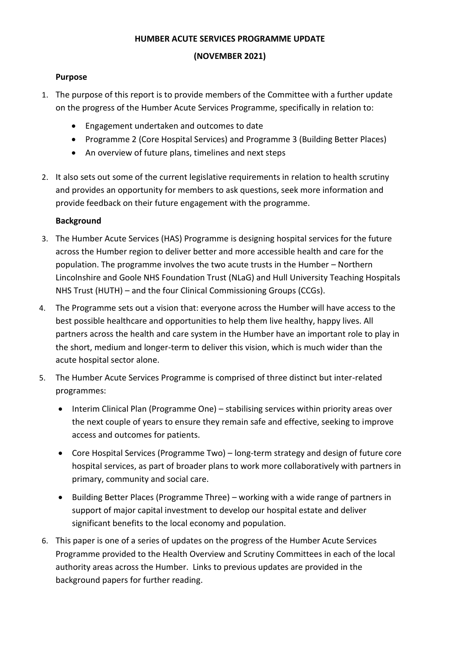### **HUMBER ACUTE SERVICES PROGRAMME UPDATE**

### **(NOVEMBER 2021)**

### **Purpose**

- 1. The purpose of this report is to provide members of the Committee with a further update on the progress of the Humber Acute Services Programme, specifically in relation to:
	- Engagement undertaken and outcomes to date
	- Programme 2 (Core Hospital Services) and Programme 3 (Building Better Places)
	- An overview of future plans, timelines and next steps
- 2. It also sets out some of the current legislative requirements in relation to health scrutiny and provides an opportunity for members to ask questions, seek more information and provide feedback on their future engagement with the programme.

### **Background**

- 3. The Humber Acute Services (HAS) Programme is designing hospital services for the future across the Humber region to deliver better and more accessible health and care for the population. The programme involves the two acute trusts in the Humber – Northern Lincolnshire and Goole NHS Foundation Trust (NLaG) and Hull University Teaching Hospitals NHS Trust (HUTH) – and the four Clinical Commissioning Groups (CCGs).
- 4. The Programme sets out a vision that: everyone across the Humber will have access to the best possible healthcare and opportunities to help them live healthy, happy lives. All partners across the health and care system in the Humber have an important role to play in the short, medium and longer-term to deliver this vision, which is much wider than the acute hospital sector alone.
- 5. The Humber Acute Services Programme is comprised of three distinct but inter-related programmes:
	- Interim Clinical Plan (Programme One) stabilising services within priority areas over the next couple of years to ensure they remain safe and effective, seeking to improve access and outcomes for patients.
	- Core Hospital Services (Programme Two) long-term strategy and design of future core hospital services, as part of broader plans to work more collaboratively with partners in primary, community and social care.
	- Building Better Places (Programme Three) working with a wide range of partners in support of major capital investment to develop our hospital estate and deliver significant benefits to the local economy and population.
- 6. This paper is one of a series of updates on the progress of the Humber Acute Services Programme provided to the Health Overview and Scrutiny Committees in each of the local authority areas across the Humber. Links to previous updates are provided in the background papers for further reading.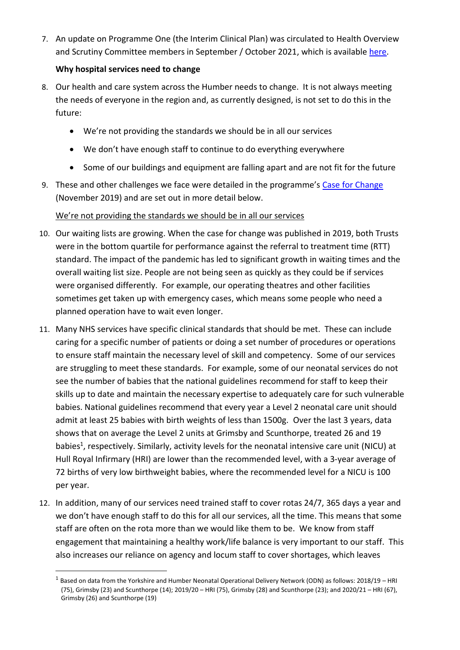7. An update on Programme One (the Interim Clinical Plan) was circulated to Health Overview and Scrutiny Committee members in September / October 2021, which is available [here.](https://humbercoastandvale.org.uk/wp-content/uploads/2021/10/HOSC-P1-update-Sept-2021.pdf)

# **Why hospital services need to change**

- 8. Our health and care system across the Humber needs to change. It is not always meeting the needs of everyone in the region and, as currently designed, is not set to do this in the future:
	- We're not providing the standards we should be in all our services
	- We don't have enough staff to continue to do everything everywhere
	- Some of our buildings and equipment are falling apart and are not fit for the future
- 9. These and other challenges we face were detailed in the programme's [Case for Change](https://humbercoastandvale.org.uk/wp-content/uploads/2020/02/HASR-Long-Case-for-Change_Final-for-Publication.pdf) (November 2019) and are set out in more detail below.

# We're not providing the standards we should be in all our services

- 10. Our waiting lists are growing. When the case for change was published in 2019, both Trusts were in the bottom quartile for performance against the referral to treatment time (RTT) standard. The impact of the pandemic has led to significant growth in waiting times and the overall waiting list size. People are not being seen as quickly as they could be if services were organised differently. For example, our operating theatres and other facilities sometimes get taken up with emergency cases, which means some people who need a planned operation have to wait even longer.
- 11. Many NHS services have specific clinical standards that should be met. These can include caring for a specific number of patients or doing a set number of procedures or operations to ensure staff maintain the necessary level of skill and competency. Some of our services are struggling to meet these standards. For example, some of our neonatal services do not see the number of babies that the national guidelines recommend for staff to keep their skills up to date and maintain the necessary expertise to adequately care for such vulnerable babies. National guidelines recommend that every year a Level 2 neonatal care unit should admit at least 25 babies with birth weights of less than 1500g. Over the last 3 years, data shows that on average the Level 2 units at Grimsby and Scunthorpe, treated 26 and 19 babies<sup>1</sup>, respectively. Similarly, activity levels for the neonatal intensive care unit (NICU) at Hull Royal Infirmary (HRI) are lower than the recommended level, with a 3-year average of 72 births of very low birthweight babies, where the recommended level for a NICU is 100 per year.
- 12. In addition, many of our services need trained staff to cover rotas 24/7, 365 days a year and we don't have enough staff to do this for all our services, all the time. This means that some staff are often on the rota more than we would like them to be. We know from staff engagement that maintaining a healthy work/life balance is very important to our staff. This also increases our reliance on agency and locum staff to cover shortages, which leaves

<sup>&</sup>lt;sup>1</sup> Based on data from the Yorkshire and Humber Neonatal Operational Delivery Network (ODN) as follows: 2018/19 – HRI (75), Grimsby (23) and Scunthorpe (14); 2019/20 – HRI (75), Grimsby (28) and Scunthorpe (23); and 2020/21 – HRI (67), Grimsby (26) and Scunthorpe (19)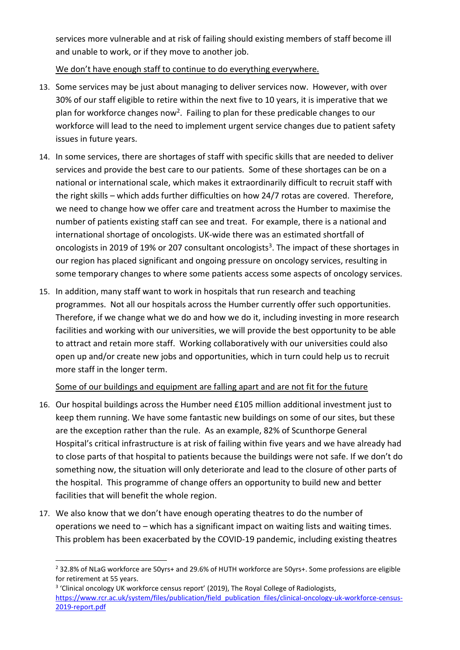services more vulnerable and at risk of failing should existing members of staff become ill and unable to work, or if they move to another job.

We don't have enough staff to continue to do everything everywhere.

- 13. Some services may be just about managing to deliver services now. However, with over 30% of our staff eligible to retire within the next five to 10 years, it is imperative that we plan for workforce changes now<sup>2</sup>. Failing to plan for these predicable changes to our workforce will lead to the need to implement urgent service changes due to patient safety issues in future years.
- 14. In some services, there are shortages of staff with specific skills that are needed to deliver services and provide the best care to our patients. Some of these shortages can be on a national or international scale, which makes it extraordinarily difficult to recruit staff with the right skills – which adds further difficulties on how 24/7 rotas are covered. Therefore, we need to change how we offer care and treatment across the Humber to maximise the number of patients existing staff can see and treat. For example, there is a national and international shortage of oncologists. UK-wide there was an estimated shortfall of oncologists in 2019 of 19% or 207 consultant oncologists<sup>3</sup>. The impact of these shortages in our region has placed significant and ongoing pressure on oncology services, resulting in some temporary changes to where some patients access some aspects of oncology services.
- 15. In addition, many staff want to work in hospitals that run research and teaching programmes. Not all our hospitals across the Humber currently offer such opportunities. Therefore, if we change what we do and how we do it, including investing in more research facilities and working with our universities, we will provide the best opportunity to be able to attract and retain more staff. Working collaboratively with our universities could also open up and/or create new jobs and opportunities, which in turn could help us to recruit more staff in the longer term.

# Some of our buildings and equipment are falling apart and are not fit for the future

- 16. Our hospital buildings across the Humber need £105 million additional investment just to keep them running. We have some fantastic new buildings on some of our sites, but these are the exception rather than the rule. As an example, 82% of Scunthorpe General Hospital's critical infrastructure is at risk of failing within five years and we have already had to close parts of that hospital to patients because the buildings were not safe. If we don't do something now, the situation will only deteriorate and lead to the closure of other parts of the hospital. This programme of change offers an opportunity to build new and better facilities that will benefit the whole region.
- 17. We also know that we don't have enough operating theatres to do the number of operations we need to – which has a significant impact on waiting lists and waiting times. This problem has been exacerbated by the COVID-19 pandemic, including existing theatres

<sup>&</sup>lt;sup>2</sup> 32.8% of NLaG workforce are 50yrs+ and 29.6% of HUTH workforce are 50yrs+. Some professions are eligible for retirement at 55 years.

<sup>&</sup>lt;sup>3</sup> 'Clinical oncology UK workforce census report' (2019), The Royal College of Radiologists, [https://www.rcr.ac.uk/system/files/publication/field\\_publication\\_files/clinical-oncology-uk-workforce-census-](https://www.rcr.ac.uk/system/files/publication/field_publication_files/clinical-oncology-uk-workforce-census-2019-report.pdf)[2019-report.pdf](https://www.rcr.ac.uk/system/files/publication/field_publication_files/clinical-oncology-uk-workforce-census-2019-report.pdf)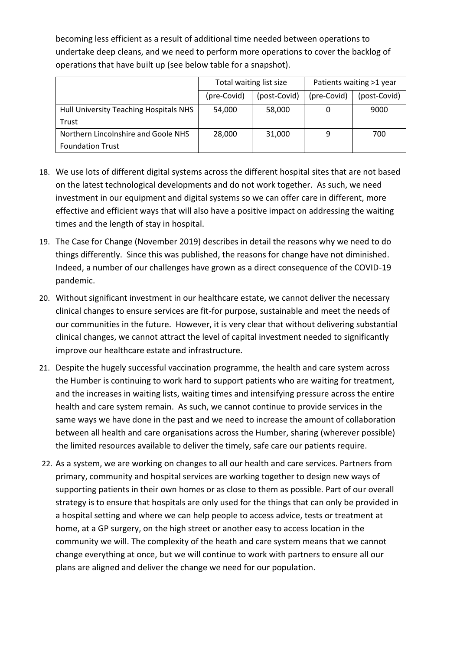becoming less efficient as a result of additional time needed between operations to undertake deep cleans, and we need to perform more operations to cover the backlog of operations that have built up (see below table for a snapshot).

|                                        | Total waiting list size |              | Patients waiting >1 year |              |
|----------------------------------------|-------------------------|--------------|--------------------------|--------------|
|                                        | (pre-Covid)             | (post-Covid) | (pre-Covid)              | (post-Covid) |
| Hull University Teaching Hospitals NHS | 54,000                  | 58,000       |                          | 9000         |
| Trust                                  |                         |              |                          |              |
| Northern Lincolnshire and Goole NHS    | 28,000                  | 31,000       | 9                        | 700          |
| <b>Foundation Trust</b>                |                         |              |                          |              |

- 18. We use lots of different digital systems across the different hospital sites that are not based on the latest technological developments and do not work together. As such, we need investment in our equipment and digital systems so we can offer care in different, more effective and efficient ways that will also have a positive impact on addressing the waiting times and the length of stay in hospital.
- 19. The Case for Change (November 2019) describes in detail the reasons why we need to do things differently. Since this was published, the reasons for change have not diminished. Indeed, a number of our challenges have grown as a direct consequence of the COVID-19 pandemic.
- 20. Without significant investment in our healthcare estate, we cannot deliver the necessary clinical changes to ensure services are fit-for purpose, sustainable and meet the needs of our communities in the future. However, it is very clear that without delivering substantial clinical changes, we cannot attract the level of capital investment needed to significantly improve our healthcare estate and infrastructure.
- 21. Despite the hugely successful vaccination programme, the health and care system across the Humber is continuing to work hard to support patients who are waiting for treatment, and the increases in waiting lists, waiting times and intensifying pressure across the entire health and care system remain. As such, we cannot continue to provide services in the same ways we have done in the past and we need to increase the amount of collaboration between all health and care organisations across the Humber, sharing (wherever possible) the limited resources available to deliver the timely, safe care our patients require.
- 22. As a system, we are working on changes to all our health and care services. Partners from primary, community and hospital services are working together to design new ways of supporting patients in their own homes or as close to them as possible. Part of our overall strategy is to ensure that hospitals are only used for the things that can only be provided in a hospital setting and where we can help people to access advice, tests or treatment at home, at a GP surgery, on the high street or another easy to access location in the community we will. The complexity of the heath and care system means that we cannot change everything at once, but we will continue to work with partners to ensure all our plans are aligned and deliver the change we need for our population.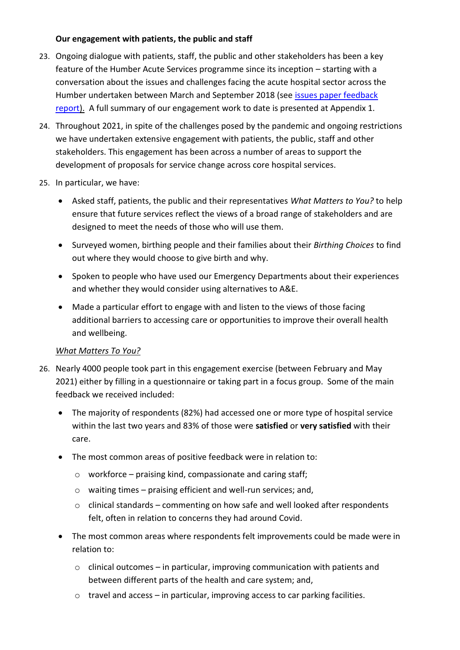# **Our engagement with patients, the public and staff**

- 23. Ongoing dialogue with patients, staff, the public and other stakeholders has been a key feature of the Humber Acute Services programme since its inception – starting with a conversation about the issues and challenges facing the acute hospital sector across the Humber undertaken between March and September 2018 (see issues paper feedback [report\)](https://humbercoastandvale.org.uk/wp-content/uploads/2018/11/Issues-Paper-Feedback-Report_web.pdf). A full summary of our engagement work to date is presented at Appendix 1.
- 24. Throughout 2021, in spite of the challenges posed by the pandemic and ongoing restrictions we have undertaken extensive engagement with patients, the public, staff and other stakeholders. This engagement has been across a number of areas to support the development of proposals for service change across core hospital services.
- 25. In particular, we have:
	- Asked staff, patients, the public and their representatives *What Matters to You?* to help ensure that future services reflect the views of a broad range of stakeholders and are designed to meet the needs of those who will use them.
	- Surveyed women, birthing people and their families about their *Birthing Choices* to find out where they would choose to give birth and why.
	- Spoken to people who have used our Emergency Departments about their experiences and whether they would consider using alternatives to A&E.
	- Made a particular effort to engage with and listen to the views of those facing additional barriers to accessing care or opportunities to improve their overall health and wellbeing.

# *What Matters To You?*

- 26. Nearly 4000 people took part in this engagement exercise (between February and May 2021) either by filling in a questionnaire or taking part in a focus group. Some of the main feedback we received included:
	- The majority of respondents (82%) had accessed one or more type of hospital service within the last two years and 83% of those were **satisfied** or **very satisfied** with their care.
	- The most common areas of positive feedback were in relation to:
		- $\circ$  workforce praising kind, compassionate and caring staff;
		- o waiting times praising efficient and well-run services; and,
		- o clinical standards commenting on how safe and well looked after respondents felt, often in relation to concerns they had around Covid.
	- The most common areas where respondents felt improvements could be made were in relation to:
		- $\circ$  clinical outcomes in particular, improving communication with patients and between different parts of the health and care system; and,
		- $\circ$  travel and access in particular, improving access to car parking facilities.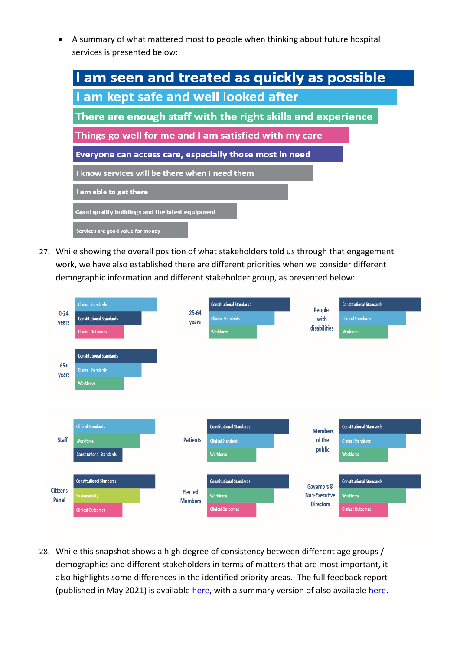• A summary of what mattered most to people when thinking about future hospital services is presented below:

| I am seen and treated as quickly as possible                |  |  |  |  |
|-------------------------------------------------------------|--|--|--|--|
| I am kept safe and well looked after                        |  |  |  |  |
| There are enough staff with the right skills and experience |  |  |  |  |
| Things go well for me and I am satisfied with my care       |  |  |  |  |
| Everyone can access care, especially those most in need     |  |  |  |  |
| I know services will be there when I need them              |  |  |  |  |
| I am able to get there                                      |  |  |  |  |
| Good quality buildings and the latest equipment             |  |  |  |  |
| Services are good value for money                           |  |  |  |  |

27. While showing the overall position of what stakeholders told us through that engagement work, we have also established there are different priorities when we consider different demographic information and different stakeholder group, as presented below:



28. While this snapshot shows a high degree of consistency between different age groups / demographics and different stakeholders in terms of matters that are most important, it also highlights some differences in the identified priority areas. The full feedback report (published in May 2021) is availabl[e here,](https://humbercoastandvale.tractivity.co.uk/images/blob/a55d3d89-9923-4908-96df-062073d99920/MASTER%20COPY%20-%20WMTY%20Feedback%20Report_FINAL.pdf) with a summary version of also available [here.](https://humbercoastandvale.tractivity.co.uk/images/blob/4a49ff95-e86a-4934-b8b1-b64f51a41c1f/What%20Matters%20to%20You%20-%20Exec%20Summary%20-%20final.pdf)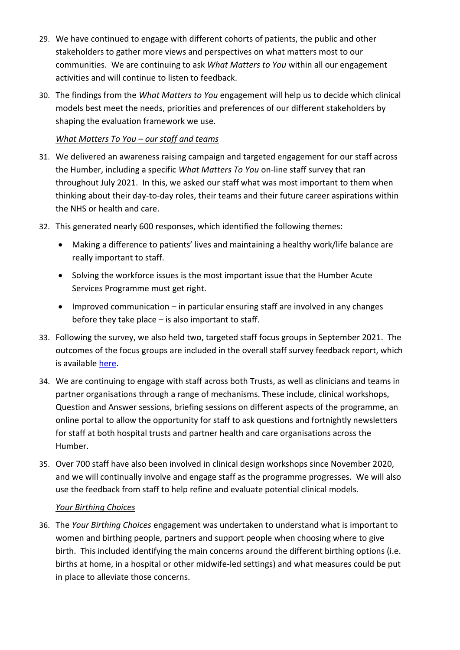- 29. We have continued to engage with different cohorts of patients, the public and other stakeholders to gather more views and perspectives on what matters most to our communities. We are continuing to ask *What Matters to You* within all our engagement activities and will continue to listen to feedback.
- 30. The findings from the *What Matters to You* engagement will help us to decide which clinical models best meet the needs, priorities and preferences of our different stakeholders by shaping the evaluation framework we use.

# *What Matters To You – our staff and teams*

- 31. We delivered an awareness raising campaign and targeted engagement for our staff across the Humber, including a specific *What Matters To You* on-line staff survey that ran throughout July 2021. In this, we asked our staff what was most important to them when thinking about their day-to-day roles, their teams and their future career aspirations within the NHS or health and care.
- 32. This generated nearly 600 responses, which identified the following themes:
	- Making a difference to patients' lives and maintaining a healthy work/life balance are really important to staff.
	- Solving the workforce issues is the most important issue that the Humber Acute Services Programme must get right.
	- Improved communication in particular ensuring staff are involved in any changes before they take place – is also important to staff.
- 33. Following the survey, we also held two, targeted staff focus groups in September 2021. The outcomes of the focus groups are included in the overall staff survey feedback report, which is available [here.](https://humbercoastandvale.engage-360.co.uk/surveys/6?q=r6Kj0NLsd4fLbcxJ3VkWbzTsY95H/jAa4XviIy6PsusJcGwa7g5DiOqJa0oNnkS/)
- 34. We are continuing to engage with staff across both Trusts, as well as clinicians and teams in partner organisations through a range of mechanisms. These include, clinical workshops, Question and Answer sessions, briefing sessions on different aspects of the programme, an online portal to allow the opportunity for staff to ask questions and fortnightly newsletters for staff at both hospital trusts and partner health and care organisations across the Humber.
- 35. Over 700 staff have also been involved in clinical design workshops since November 2020, and we will continually involve and engage staff as the programme progresses. We will also use the feedback from staff to help refine and evaluate potential clinical models.

## *Your Birthing Choices*

36. The *Your Birthing Choices* engagement was undertaken to understand what is important to women and birthing people, partners and support people when choosing where to give birth. This included identifying the main concerns around the different birthing options (i.e. births at home, in a hospital or other midwife-led settings) and what measures could be put in place to alleviate those concerns.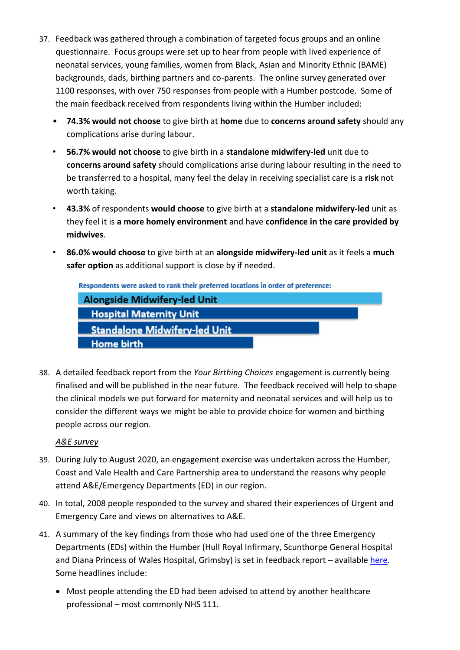- 37. Feedback was gathered through a combination of targeted focus groups and an online questionnaire. Focus groups were set up to hear from people with lived experience of neonatal services, young families, women from Black, Asian and Minority Ethnic (BAME) backgrounds, dads, birthing partners and co-parents. The online survey generated over 1100 responses, with over 750 responses from people with a Humber postcode. Some of the main feedback received from respondents living within the Humber included:
	- **74.3% would not choose** to give birth at **home** due to **concerns around safety** should any complications arise during labour.
	- **56.7% would not choose** to give birth in a **standalone midwifery-led** unit due to **concerns around safety** should complications arise during labour resulting in the need to be transferred to a hospital, many feel the delay in receiving specialist care is a **risk** not worth taking.
	- **43.3%** of respondents **would choose** to give birth at a **standalone midwifery-led** unit as they feel it is **a more homely environment** and have **confidence in the care provided by midwives**.
	- **86.0% would choose** to give birth at an **alongside midwifery-led unit** as it feels a **much safer option** as additional support is close by if needed.

| Respondents were asked to rank their preferred locations in order of preference: |  |
|----------------------------------------------------------------------------------|--|
| Alongside Midwifery-led Unit                                                     |  |
| <b>Hospital Maternity Unit</b>                                                   |  |
| <b>Standalone Midwifery-led Unit</b>                                             |  |
| <b>Home birth</b>                                                                |  |

38. A detailed feedback report from the *Your Birthing Choices* engagement is currently being finalised and will be published in the near future. The feedback received will help to shape the clinical models we put forward for maternity and neonatal services and will help us to consider the different ways we might be able to provide choice for women and birthing people across our region.

# *A&E survey*

- 39. During July to August 2020, an engagement exercise was undertaken across the Humber, Coast and Vale Health and Care Partnership area to understand the reasons why people attend A&E/Emergency Departments (ED) in our region.
- 40. In total, 2008 people responded to the survey and shared their experiences of Urgent and Emergency Care and views on alternatives to A&E.
- 41. A summary of the key findings from those who had used one of the three Emergency Departments (EDs) within the Humber (Hull Royal Infirmary, Scunthorpe General Hospital and Diana Princess of Wales Hospital, Grimsby) is set in feedback report – available [here.](https://www.eastridingofyorkshireccg.nhs.uk/data/uploads/get-involved/ae-feedback-report-2020-final-draft.pdf) Some headlines include:
	- Most people attending the ED had been advised to attend by another healthcare professional – most commonly NHS 111.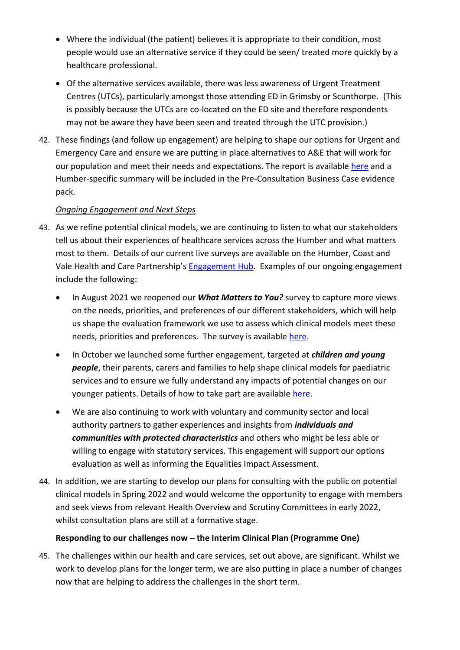- Where the individual (the patient) believes it is appropriate to their condition, most people would use an alternative service if they could be seen/ treated more quickly by a healthcare professional.
- Of the alternative services available, there was less awareness of Urgent Treatment Centres (UTCs), particularly amongst those attending ED in Grimsby or Scunthorpe. (This is possibly because the UTCs are co-located on the ED site and therefore respondents may not be aware they have been seen and treated through the UTC provision.)
- 42. These findings (and follow up engagement) are helping to shape our options for Urgent and Emergency Care and ensure we are putting in place alternatives to A&E that will work for our population and meet their needs and expectations. The report is available [here](https://www.eastridingofyorkshireccg.nhs.uk/data/uploads/get-involved/ae-feedback-report-2020-final-draft.pdf) and a Humber-specific summary will be included in the Pre-Consultation Business Case evidence pack.

# *Ongoing Engagement and Next Steps*

- 43. As we refine potential clinical models, we are continuing to listen to what our stakeholders tell us about their experiences of healthcare services across the Humber and what matters most to them. Details of our current live surveys are available on the Humber, Coast and Vale Health and Care Partnership's [Engagement Hub.](https://humbercoastandvale.engage-360.co.uk/) Examples of our ongoing engagement include the following:
	- In August 2021 we reopened our *What Matters to You?* survey to capture more views on the needs, priorities, and preferences of our different stakeholders, which will help us shape the evaluation framework we use to assess which clinical models meet these needs, priorities and preferences. The survey is available [here.](https://humbercoastandvale.engage-360.co.uk/surveys/14)
	- In October we launched some further engagement, targeted at *children and young people*, their parents, carers and families to help shape clinical models for paediatric services and to ensure we fully understand any impacts of potential changes on our younger patients. Details of how to take part are available [here.](https://humbercoastandvale.engage-360.co.uk/surveys/16)
	- We are also continuing to work with voluntary and community sector and local authority partners to gather experiences and insights from *individuals and communities with protected characteristics* and others who might be less able or willing to engage with statutory services. This engagement will support our options evaluation as well as informing the Equalities Impact Assessment.
- 44. In addition, we are starting to develop our plans for consulting with the public on potential clinical models in Spring 2022 and would welcome the opportunity to engage with members and seek views from relevant Health Overview and Scrutiny Committees in early 2022, whilst consultation plans are still at a formative stage.

## **Responding to our challenges now – the Interim Clinical Plan (Programme One)**

45. The challenges within our health and care services, set out above, are significant. Whilst we work to develop plans for the longer term, we are also putting in place a number of changes now that are helping to address the challenges in the short term.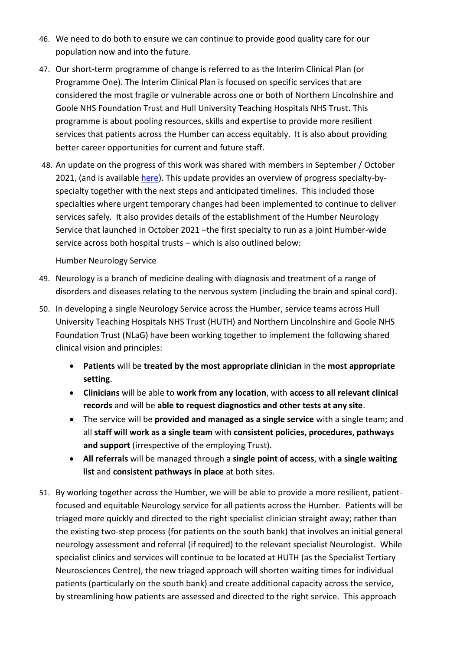- 46. We need to do both to ensure we can continue to provide good quality care for our population now and into the future.
- 47. Our short-term programme of change is referred to as the Interim Clinical Plan (or Programme One). The Interim Clinical Plan is focused on specific services that are considered the most fragile or vulnerable across one or both of Northern Lincolnshire and Goole NHS Foundation Trust and Hull University Teaching Hospitals NHS Trust. This programme is about pooling resources, skills and expertise to provide more resilient services that patients across the Humber can access equitably. It is also about providing better career opportunities for current and future staff.
- 48. An update on the progress of this work was shared with members in September / October 2021, (and is available [here\)](https://humbercoastandvale.org.uk/wp-content/uploads/2021/10/HOSC-P1-update-Sept-2021.pdf). This update provides an overview of progress specialty-byspecialty together with the next steps and anticipated timelines. This included those specialties where urgent temporary changes had been implemented to continue to deliver services safely. It also provides details of the establishment of the Humber Neurology Service that launched in October 2021 –the first specialty to run as a joint Humber-wide service across both hospital trusts – which is also outlined below:

## Humber Neurology Service

- 49. Neurology is a branch of medicine dealing with diagnosis and treatment of a range of disorders and diseases relating to the nervous system (including the brain and spinal cord).
- 50. In developing a single Neurology Service across the Humber, service teams across Hull University Teaching Hospitals NHS Trust (HUTH) and Northern Lincolnshire and Goole NHS Foundation Trust (NLaG) have been working together to implement the following shared clinical vision and principles:
	- **Patients** will be **treated by the most appropriate clinician** in the **most appropriate setting**.
	- **Clinicians** will be able to **work from any location**, with **access to all relevant clinical records** and will be **able to request diagnostics and other tests at any site**.
	- The service will be **provided and managed as a single service** with a single team; and all **staff will work as a single team** with **consistent policies, procedures, pathways and support** (irrespective of the employing Trust).
	- **All referrals** will be managed through a **single point of access**, with **a single waiting list** and **consistent pathways in place** at both sites.
- 51. By working together across the Humber, we will be able to provide a more resilient, patientfocused and equitable Neurology service for all patients across the Humber. Patients will be triaged more quickly and directed to the right specialist clinician straight away; rather than the existing two-step process (for patients on the south bank) that involves an initial general neurology assessment and referral (if required) to the relevant specialist Neurologist. While specialist clinics and services will continue to be located at HUTH (as the Specialist Tertiary Neurosciences Centre), the new triaged approach will shorten waiting times for individual patients (particularly on the south bank) and create additional capacity across the service, by streamlining how patients are assessed and directed to the right service. This approach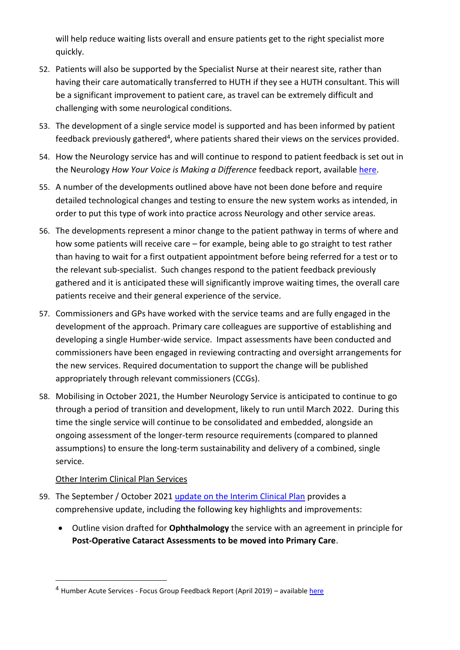will help reduce waiting lists overall and ensure patients get to the right specialist more quickly.

- 52. Patients will also be supported by the Specialist Nurse at their nearest site, rather than having their care automatically transferred to HUTH if they see a HUTH consultant. This will be a significant improvement to patient care, as travel can be extremely difficult and challenging with some neurological conditions.
- 53. The development of a single service model is supported and has been informed by patient feedback previously gathered<sup>4</sup>, where patients shared their views on the services provided.
- 54. How the Neurology service has and will continue to respond to patient feedback is set out in the Neurology *How Your Voice is Making a Difference* feedback report, availabl[e here.](https://humbercoastandvale.org.uk/wp-content/uploads/2021/11/How-your-voice-is-making-a-difference_YSWD-Sept-21_final.pdf)
- 55. A number of the developments outlined above have not been done before and require detailed technological changes and testing to ensure the new system works as intended, in order to put this type of work into practice across Neurology and other service areas.
- 56. The developments represent a minor change to the patient pathway in terms of where and how some patients will receive care – for example, being able to go straight to test rather than having to wait for a first outpatient appointment before being referred for a test or to the relevant sub-specialist. Such changes respond to the patient feedback previously gathered and it is anticipated these will significantly improve waiting times, the overall care patients receive and their general experience of the service.
- 57. Commissioners and GPs have worked with the service teams and are fully engaged in the development of the approach. Primary care colleagues are supportive of establishing and developing a single Humber-wide service. Impact assessments have been conducted and commissioners have been engaged in reviewing contracting and oversight arrangements for the new services. Required documentation to support the change will be published appropriately through relevant commissioners (CCGs).
- 58. Mobilising in October 2021, the Humber Neurology Service is anticipated to continue to go through a period of transition and development, likely to run until March 2022. During this time the single service will continue to be consolidated and embedded, alongside an ongoing assessment of the longer-term resource requirements (compared to planned assumptions) to ensure the long-term sustainability and delivery of a combined, single service.

## Other Interim Clinical Plan Services

- 59. The September / October 2021 [update on the Interim Clinical Plan](https://humbercoastandvale.org.uk/wp-content/uploads/2021/10/HOSC-P1-update-Sept-2021.pdf) provides a comprehensive update, including the following key highlights and improvements:
	- Outline vision drafted for **Ophthalmology** the service with an agreement in principle for **Post-Operative Cataract Assessments to be moved into Primary Care**.

<sup>4</sup> Humber Acute Services - Focus Group Feedback Report (April 2019) – availabl[e here](https://humbercoastandvale.org.uk/wp-content/uploads/2019/04/Focus-Groups-Feedback-Report_final.pdf)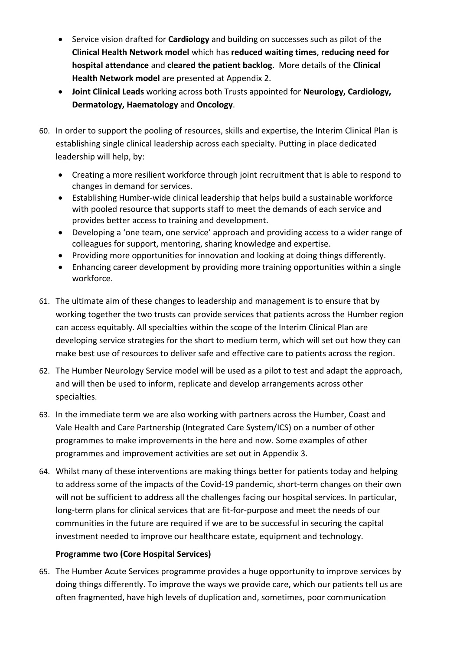- Service vision drafted for **Cardiology** and building on successes such as pilot of the **Clinical Health Network model** which has **reduced waiting times**, **reducing need for hospital attendance** and **cleared the patient backlog**. More details of the **Clinical Health Network model** are presented at Appendix 2.
- **Joint Clinical Leads** working across both Trusts appointed for **Neurology, Cardiology, Dermatology, Haematology** and **Oncology**.
- 60. In order to support the pooling of resources, skills and expertise, the Interim Clinical Plan is establishing single clinical leadership across each specialty. Putting in place dedicated leadership will help, by:
	- Creating a more resilient workforce through joint recruitment that is able to respond to changes in demand for services.
	- Establishing Humber-wide clinical leadership that helps build a sustainable workforce with pooled resource that supports staff to meet the demands of each service and provides better access to training and development.
	- Developing a 'one team, one service' approach and providing access to a wider range of colleagues for support, mentoring, sharing knowledge and expertise.
	- Providing more opportunities for innovation and looking at doing things differently.
	- Enhancing career development by providing more training opportunities within a single workforce.
- 61. The ultimate aim of these changes to leadership and management is to ensure that by working together the two trusts can provide services that patients across the Humber region can access equitably. All specialties within the scope of the Interim Clinical Plan are developing service strategies for the short to medium term, which will set out how they can make best use of resources to deliver safe and effective care to patients across the region.
- 62. The Humber Neurology Service model will be used as a pilot to test and adapt the approach, and will then be used to inform, replicate and develop arrangements across other specialties.
- 63. In the immediate term we are also working with partners across the Humber, Coast and Vale Health and Care Partnership (Integrated Care System/ICS) on a number of other programmes to make improvements in the here and now. Some examples of other programmes and improvement activities are set out in Appendix 3.
- 64. Whilst many of these interventions are making things better for patients today and helping to address some of the impacts of the Covid-19 pandemic, short-term changes on their own will not be sufficient to address all the challenges facing our hospital services. In particular, long-term plans for clinical services that are fit-for-purpose and meet the needs of our communities in the future are required if we are to be successful in securing the capital investment needed to improve our healthcare estate, equipment and technology.

# **Programme two (Core Hospital Services)**

65. The Humber Acute Services programme provides a huge opportunity to improve services by doing things differently. To improve the ways we provide care, which our patients tell us are often fragmented, have high levels of duplication and, sometimes, poor communication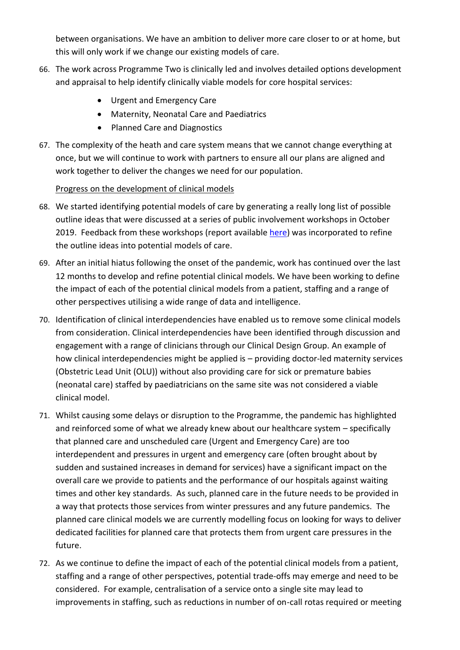between organisations. We have an ambition to deliver more care closer to or at home, but this will only work if we change our existing models of care.

- 66. The work across Programme Two is clinically led and involves detailed options development and appraisal to help identify clinically viable models for core hospital services:
	- Urgent and Emergency Care
	- Maternity, Neonatal Care and Paediatrics
	- Planned Care and Diagnostics
- 67. The complexity of the heath and care system means that we cannot change everything at once, but we will continue to work with partners to ensure all our plans are aligned and work together to deliver the changes we need for our population.

# Progress on the development of clinical models

- 68. We started identifying potential models of care by generating a really long list of possible outline ideas that were discussed at a series of public involvement workshops in October 2019. Feedback from these workshops (report available [here\)](https://humbercoastandvale.org.uk/wp-content/uploads/2020/02/HASR-Oct-2019-engagement-report_FINAL-1.pdf) was incorporated to refine the outline ideas into potential models of care.
- 69. After an initial hiatus following the onset of the pandemic, work has continued over the last 12 months to develop and refine potential clinical models. We have been working to define the impact of each of the potential clinical models from a patient, staffing and a range of other perspectives utilising a wide range of data and intelligence.
- 70. Identification of clinical interdependencies have enabled us to remove some clinical models from consideration. Clinical interdependencies have been identified through discussion and engagement with a range of clinicians through our Clinical Design Group. An example of how clinical interdependencies might be applied is – providing doctor-led maternity services (Obstetric Lead Unit (OLU)) without also providing care for sick or premature babies (neonatal care) staffed by paediatricians on the same site was not considered a viable clinical model.
- 71. Whilst causing some delays or disruption to the Programme, the pandemic has highlighted and reinforced some of what we already knew about our healthcare system – specifically that planned care and unscheduled care (Urgent and Emergency Care) are too interdependent and pressures in urgent and emergency care (often brought about by sudden and sustained increases in demand for services) have a significant impact on the overall care we provide to patients and the performance of our hospitals against waiting times and other key standards. As such, planned care in the future needs to be provided in a way that protects those services from winter pressures and any future pandemics. The planned care clinical models we are currently modelling focus on looking for ways to deliver dedicated facilities for planned care that protects them from urgent care pressures in the future.
- 72. As we continue to define the impact of each of the potential clinical models from a patient, staffing and a range of other perspectives, potential trade-offs may emerge and need to be considered. For example, centralisation of a service onto a single site may lead to improvements in staffing, such as reductions in number of on-call rotas required or meeting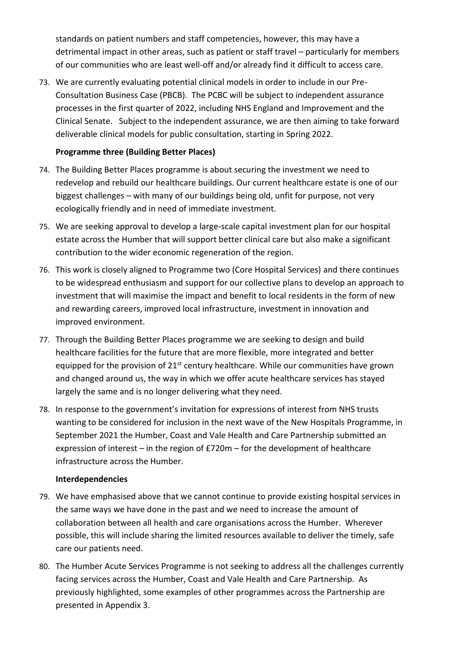standards on patient numbers and staff competencies, however, this may have a detrimental impact in other areas, such as patient or staff travel – particularly for members of our communities who are least well-off and/or already find it difficult to access care.

73. We are currently evaluating potential clinical models in order to include in our Pre-Consultation Business Case (PBCB). The PCBC will be subject to independent assurance processes in the first quarter of 2022, including NHS England and Improvement and the Clinical Senate. Subject to the independent assurance, we are then aiming to take forward deliverable clinical models for public consultation, starting in Spring 2022.

# **Programme three (Building Better Places)**

- 74. The Building Better Places programme is about securing the investment we need to redevelop and rebuild our healthcare buildings. Our current healthcare estate is one of our biggest challenges – with many of our buildings being old, unfit for purpose, not very ecologically friendly and in need of immediate investment.
- 75. We are seeking approval to develop a large-scale capital investment plan for our hospital estate across the Humber that will support better clinical care but also make a significant contribution to the wider economic regeneration of the region.
- 76. This work is closely aligned to Programme two (Core Hospital Services) and there continues to be widespread enthusiasm and support for our collective plans to develop an approach to investment that will maximise the impact and benefit to local residents in the form of new and rewarding careers, improved local infrastructure, investment in innovation and improved environment.
- 77. Through the Building Better Places programme we are seeking to design and build healthcare facilities for the future that are more flexible, more integrated and better equipped for the provision of  $21<sup>st</sup>$  century healthcare. While our communities have grown and changed around us, the way in which we offer acute healthcare services has stayed largely the same and is no longer delivering what they need.
- 78. In response to the government's invitation for expressions of interest from NHS trusts wanting to be considered for inclusion in the next wave of the New Hospitals Programme, in September 2021 the Humber, Coast and Vale Health and Care Partnership submitted an expression of interest – in the region of £720m – for the development of healthcare infrastructure across the Humber.

## **Interdependencies**

- 79. We have emphasised above that we cannot continue to provide existing hospital services in the same ways we have done in the past and we need to increase the amount of collaboration between all health and care organisations across the Humber. Wherever possible, this will include sharing the limited resources available to deliver the timely, safe care our patients need.
- 80. The Humber Acute Services Programme is not seeking to address all the challenges currently facing services across the Humber, Coast and Vale Health and Care Partnership. As previously highlighted, some examples of other programmes across the Partnership are presented in Appendix 3.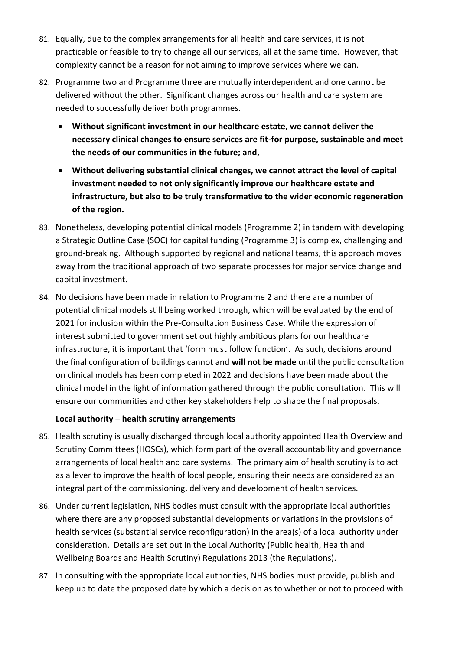- 81. Equally, due to the complex arrangements for all health and care services, it is not practicable or feasible to try to change all our services, all at the same time. However, that complexity cannot be a reason for not aiming to improve services where we can.
- 82. Programme two and Programme three are mutually interdependent and one cannot be delivered without the other. Significant changes across our health and care system are needed to successfully deliver both programmes.
	- **Without significant investment in our healthcare estate, we cannot deliver the necessary clinical changes to ensure services are fit-for purpose, sustainable and meet the needs of our communities in the future; and,**
	- **Without delivering substantial clinical changes, we cannot attract the level of capital investment needed to not only significantly improve our healthcare estate and infrastructure, but also to be truly transformative to the wider economic regeneration of the region.**
- 83. Nonetheless, developing potential clinical models (Programme 2) in tandem with developing a Strategic Outline Case (SOC) for capital funding (Programme 3) is complex, challenging and ground-breaking. Although supported by regional and national teams, this approach moves away from the traditional approach of two separate processes for major service change and capital investment.
- 84. No decisions have been made in relation to Programme 2 and there are a number of potential clinical models still being worked through, which will be evaluated by the end of 2021 for inclusion within the Pre-Consultation Business Case. While the expression of interest submitted to government set out highly ambitious plans for our healthcare infrastructure, it is important that 'form must follow function'. As such, decisions around the final configuration of buildings cannot and **will not be made** until the public consultation on clinical models has been completed in 2022 and decisions have been made about the clinical model in the light of information gathered through the public consultation. This will ensure our communities and other key stakeholders help to shape the final proposals.

## **Local authority – health scrutiny arrangements**

- 85. Health scrutiny is usually discharged through local authority appointed Health Overview and Scrutiny Committees (HOSCs), which form part of the overall accountability and governance arrangements of local health and care systems. The primary aim of health scrutiny is to act as a lever to improve the health of local people, ensuring their needs are considered as an integral part of the commissioning, delivery and development of health services.
- 86. Under current legislation, NHS bodies must consult with the appropriate local authorities where there are any proposed substantial developments or variations in the provisions of health services (substantial service reconfiguration) in the area(s) of a local authority under consideration. Details are set out in the Local Authority (Public health, Health and Wellbeing Boards and Health Scrutiny) Regulations 2013 (the Regulations).
- 87. In consulting with the appropriate local authorities, NHS bodies must provide, publish and keep up to date the proposed date by which a decision as to whether or not to proceed with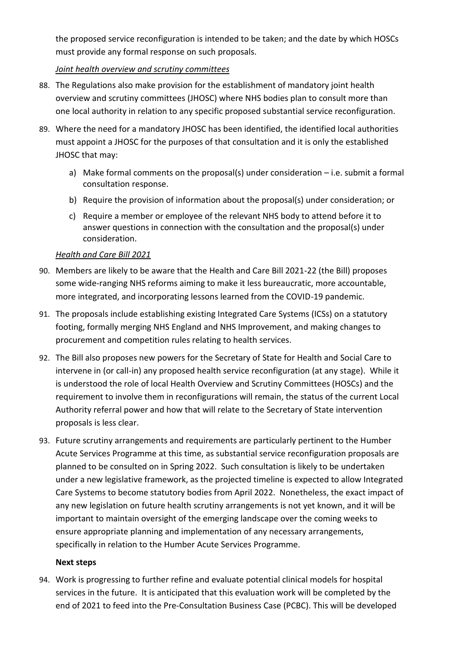the proposed service reconfiguration is intended to be taken; and the date by which HOSCs must provide any formal response on such proposals.

# *Joint health overview and scrutiny committees*

- 88. The Regulations also make provision for the establishment of mandatory joint health overview and scrutiny committees (JHOSC) where NHS bodies plan to consult more than one local authority in relation to any specific proposed substantial service reconfiguration.
- 89. Where the need for a mandatory JHOSC has been identified, the identified local authorities must appoint a JHOSC for the purposes of that consultation and it is only the established JHOSC that may:
	- a) Make formal comments on the proposal(s) under consideration i.e. submit a formal consultation response.
	- b) Require the provision of information about the proposal(s) under consideration; or
	- c) Require a member or employee of the relevant NHS body to attend before it to answer questions in connection with the consultation and the proposal(s) under consideration.

# *Health and Care Bill 2021*

- 90. Members are likely to be aware that the Health and Care Bill 2021-22 (the Bill) proposes some wide-ranging NHS reforms aiming to make it less bureaucratic, more accountable, more integrated, and incorporating lessons learned from the COVID-19 pandemic.
- 91. The proposals include establishing existing Integrated Care Systems (ICSs) on a statutory footing, formally merging NHS England and NHS Improvement, and making changes to procurement and competition rules relating to health services.
- 92. The Bill also proposes new powers for the Secretary of State for Health and Social Care to intervene in (or call-in) any proposed health service reconfiguration (at any stage). While it is understood the role of local Health Overview and Scrutiny Committees (HOSCs) and the requirement to involve them in reconfigurations will remain, the status of the current Local Authority referral power and how that will relate to the Secretary of State intervention proposals is less clear.
- 93. Future scrutiny arrangements and requirements are particularly pertinent to the Humber Acute Services Programme at this time, as substantial service reconfiguration proposals are planned to be consulted on in Spring 2022. Such consultation is likely to be undertaken under a new legislative framework, as the projected timeline is expected to allow Integrated Care Systems to become statutory bodies from April 2022. Nonetheless, the exact impact of any new legislation on future health scrutiny arrangements is not yet known, and it will be important to maintain oversight of the emerging landscape over the coming weeks to ensure appropriate planning and implementation of any necessary arrangements, specifically in relation to the Humber Acute Services Programme.

## **Next steps**

94. Work is progressing to further refine and evaluate potential clinical models for hospital services in the future. It is anticipated that this evaluation work will be completed by the end of 2021 to feed into the Pre-Consultation Business Case (PCBC). This will be developed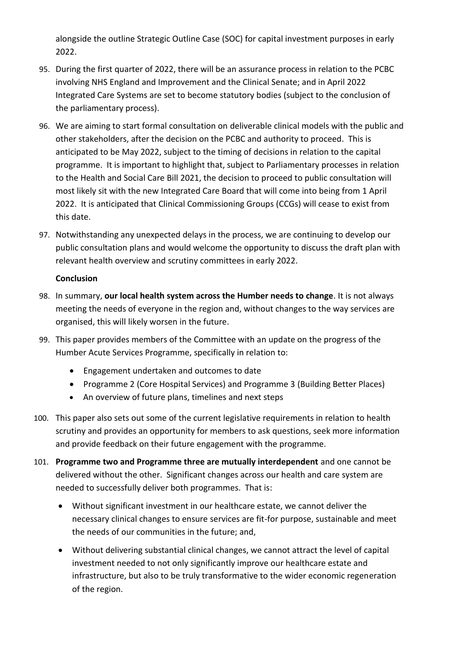alongside the outline Strategic Outline Case (SOC) for capital investment purposes in early 2022.

- 95. During the first quarter of 2022, there will be an assurance process in relation to the PCBC involving NHS England and Improvement and the Clinical Senate; and in April 2022 Integrated Care Systems are set to become statutory bodies (subject to the conclusion of the parliamentary process).
- 96. We are aiming to start formal consultation on deliverable clinical models with the public and other stakeholders, after the decision on the PCBC and authority to proceed. This is anticipated to be May 2022, subject to the timing of decisions in relation to the capital programme. It is important to highlight that, subject to Parliamentary processes in relation to the Health and Social Care Bill 2021, the decision to proceed to public consultation will most likely sit with the new Integrated Care Board that will come into being from 1 April 2022. It is anticipated that Clinical Commissioning Groups (CCGs) will cease to exist from this date.
- 97. Notwithstanding any unexpected delays in the process, we are continuing to develop our public consultation plans and would welcome the opportunity to discuss the draft plan with relevant health overview and scrutiny committees in early 2022.

# **Conclusion**

- 98. In summary, **our local health system across the Humber needs to change**. It is not always meeting the needs of everyone in the region and, without changes to the way services are organised, this will likely worsen in the future.
- 99. This paper provides members of the Committee with an update on the progress of the Humber Acute Services Programme, specifically in relation to:
	- Engagement undertaken and outcomes to date
	- Programme 2 (Core Hospital Services) and Programme 3 (Building Better Places)
	- An overview of future plans, timelines and next steps
- 100. This paper also sets out some of the current legislative requirements in relation to health scrutiny and provides an opportunity for members to ask questions, seek more information and provide feedback on their future engagement with the programme.
- 101. **Programme two and Programme three are mutually interdependent** and one cannot be delivered without the other. Significant changes across our health and care system are needed to successfully deliver both programmes. That is:
	- Without significant investment in our healthcare estate, we cannot deliver the necessary clinical changes to ensure services are fit-for purpose, sustainable and meet the needs of our communities in the future; and,
	- Without delivering substantial clinical changes, we cannot attract the level of capital investment needed to not only significantly improve our healthcare estate and infrastructure, but also to be truly transformative to the wider economic regeneration of the region.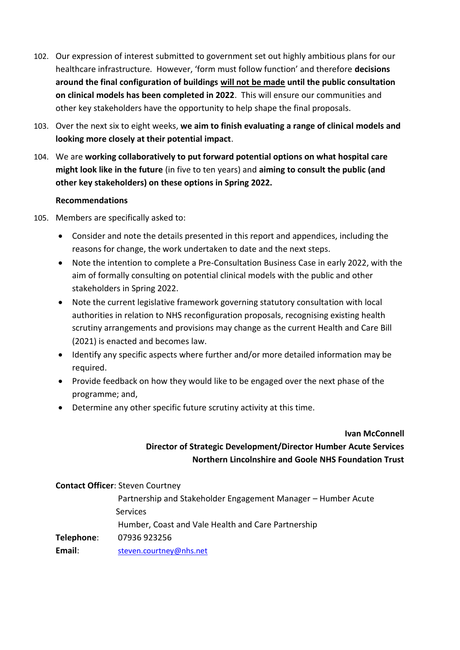- 102. Our expression of interest submitted to government set out highly ambitious plans for our healthcare infrastructure. However, 'form must follow function' and therefore **decisions around the final configuration of buildings will not be made until the public consultation on clinical models has been completed in 2022**. This will ensure our communities and other key stakeholders have the opportunity to help shape the final proposals.
- 103. Over the next six to eight weeks, **we aim to finish evaluating a range of clinical models and looking more closely at their potential impact**.
- 104. We are **working collaboratively to put forward potential options on what hospital care might look like in the future** (in five to ten years) and **aiming to consult the public (and other key stakeholders) on these options in Spring 2022.**

## **Recommendations**

- 105. Members are specifically asked to:
	- Consider and note the details presented in this report and appendices, including the reasons for change, the work undertaken to date and the next steps.
	- Note the intention to complete a Pre-Consultation Business Case in early 2022, with the aim of formally consulting on potential clinical models with the public and other stakeholders in Spring 2022.
	- Note the current legislative framework governing statutory consultation with local authorities in relation to NHS reconfiguration proposals, recognising existing health scrutiny arrangements and provisions may change as the current Health and Care Bill (2021) is enacted and becomes law.
	- Identify any specific aspects where further and/or more detailed information may be required.
	- Provide feedback on how they would like to be engaged over the next phase of the programme; and,
	- Determine any other specific future scrutiny activity at this time.

#### **Ivan McConnell**

# **Director of Strategic Development/Director Humber Acute Services Northern Lincolnshire and Goole NHS Foundation Trust**

**Contact Officer**: Steven Courtney

Partnership and Stakeholder Engagement Manager – Humber Acute Services Humber, Coast and Vale Health and Care Partnership **Telephone**: 07936 923256 Email: [steven.courtney@nhs.net](mailto:steven.courtney@nhs.net)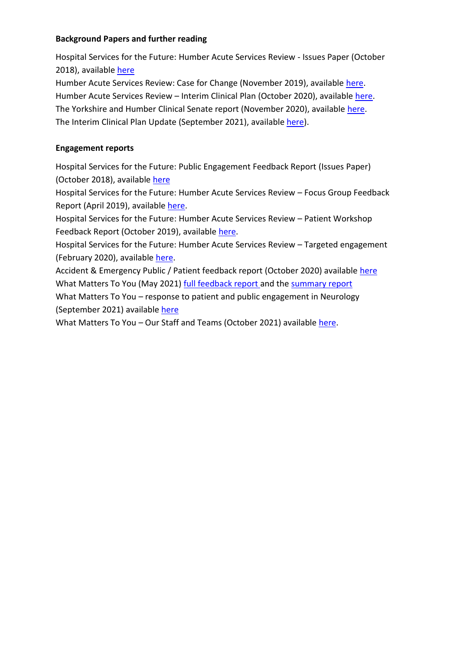## **Background Papers and further reading**

Hospital Services for the Future: Humber Acute Services Review - Issues Paper (October 2018), availabl[e here](https://humbercoastandvale.org.uk/wp-content/uploads/2018/03/Issues-document_final_webversion1.pdf)

Humber Acute Services Review: Case for Change (November 2019), available [here.](https://humbercoastandvale.org.uk/wp-content/uploads/2020/02/HASR-Long-Case-for-Change_Final-for-Publication.pdf) Humber Acute Services Review - Interim Clinical Plan (October 2020), available [here.](https://humbercoastandvale.org.uk/wp-content/uploads/2020/09/Interim-Clinical-Plan_summary_final-version.pdf) The Yorkshire and Humber Clinical Senate report (November 2020), available [here.](http://www.yhsenate.nhs.uk/modules/reports/protected/files/YH%20Senate%20Report%20-%20Humber%20Acute%20Services%20-%20November%202020.pdf) The Interim Clinical Plan Update (September 2021), available [here\)](https://humbercoastandvale.org.uk/wp-content/uploads/2021/10/HOSC-P1-update-Sept-2021.pdf).

# **Engagement reports**

Hospital Services for the Future: Public Engagement Feedback Report (Issues Paper) (October 2018), available [here](https://humbercoastandvale.org.uk/wp-content/uploads/2018/11/Issues-Paper-Feedback-Report_web.pdf)

Hospital Services for the Future: Humber Acute Services Review – Focus Group Feedback Report (April 2019), available [here.](https://humbercoastandvale.org.uk/wp-content/uploads/2019/04/Focus-Groups-Feedback-Report_final.pdf)

Hospital Services for the Future: Humber Acute Services Review – Patient Workshop Feedback Report (October 2019), available [here.](https://humbercoastandvale.org.uk/wp-content/uploads/2020/02/HASR-Oct-2019-engagement-report_FINAL-1.pdf)

Hospital Services for the Future: Humber Acute Services Review – Targeted engagement (February 2020), available [here.](https://humbercoastandvale.org.uk/wp-content/uploads/2020/02/HWRA-Targeted-Engagement-report_final_11.02.20.pdf)

Accident & Emergency Public / Patient feedback report (October 2020) available [here](https://www.eastridingofyorkshireccg.nhs.uk/data/uploads/get-involved/ae-feedback-report-2020-final-draft.pdf) What Matters To You (May 2021) [full feedback report](https://humbercoastandvale.tractivity.co.uk/images/blob/a55d3d89-9923-4908-96df-062073d99920/MASTER%20COPY%20-%20WMTY%20Feedback%20Report_FINAL.pdf) and the [summary report](https://humbercoastandvale.tractivity.co.uk/images/blob/4a49ff95-e86a-4934-b8b1-b64f51a41c1f/What%20Matters%20to%20You%20-%20Exec%20Summary%20-%20final.pdf)

What Matters To You – response to patient and public engagement in Neurology (September 2021) available [here](https://humbercoastandvale.org.uk/wp-content/uploads/2021/11/How-your-voice-is-making-a-difference_YSWD-Sept-21_final.pdf)

What Matters To You – Our Staff and Teams (October 2021) available [here.](https://humbercoastandvale.engage-360.co.uk/surveys/6?q=r6Kj0NLsd4fLbcxJ3VkWbzTsY95H/jAa4XviIy6PsusJcGwa7g5DiOqJa0oNnkS/)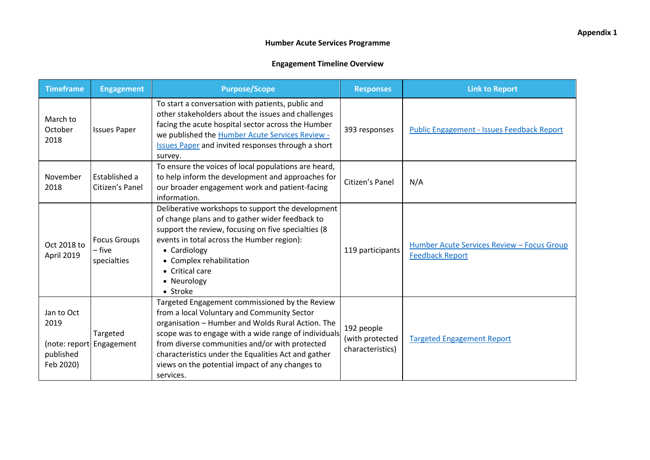| <b>Timeframe</b>                             | <b>Engagement</b>                            | <b>Purpose/Scope</b>                                                                                                                                                                                                                                                                                                                                                                | <b>Responses</b>                                  | <b>Link to Report</b>                                                |
|----------------------------------------------|----------------------------------------------|-------------------------------------------------------------------------------------------------------------------------------------------------------------------------------------------------------------------------------------------------------------------------------------------------------------------------------------------------------------------------------------|---------------------------------------------------|----------------------------------------------------------------------|
| March to<br>October<br>2018                  | <b>Issues Paper</b>                          | To start a conversation with patients, public and<br>other stakeholders about the issues and challenges<br>facing the acute hospital sector across the Humber<br>we published the <b>Humber Acute Services Review -</b><br><b>Issues Paper</b> and invited responses through a short<br>survey.                                                                                     | 393 responses                                     | <b>Public Engagement - Issues Feedback Report</b>                    |
| November<br>2018                             | Established a<br>Citizen's Panel             | To ensure the voices of local populations are heard,<br>to help inform the development and approaches for<br>our broader engagement work and patient-facing<br>information.                                                                                                                                                                                                         | Citizen's Panel                                   | N/A                                                                  |
| Oct 2018 to<br>April 2019                    | <b>Focus Groups</b><br>– five<br>specialties | Deliberative workshops to support the development<br>of change plans and to gather wider feedback to<br>support the review, focusing on five specialties (8<br>events in total across the Humber region):<br>• Cardiology<br>• Complex rehabilitation<br>• Critical care<br>• Neurology<br>• Stroke                                                                                 | 119 participants                                  | Humber Acute Services Review - Focus Group<br><b>Feedback Report</b> |
| Jan to Oct<br>2019<br>published<br>Feb 2020) | Targeted<br>(note: report Engagement         | Targeted Engagement commissioned by the Review<br>from a local Voluntary and Community Sector<br>organisation - Humber and Wolds Rural Action. The<br>scope was to engage with a wide range of individuals<br>from diverse communities and/or with protected<br>characteristics under the Equalities Act and gather<br>views on the potential impact of any changes to<br>services. | 192 people<br>(with protected<br>characteristics) | <b>Targeted Engagement Report</b>                                    |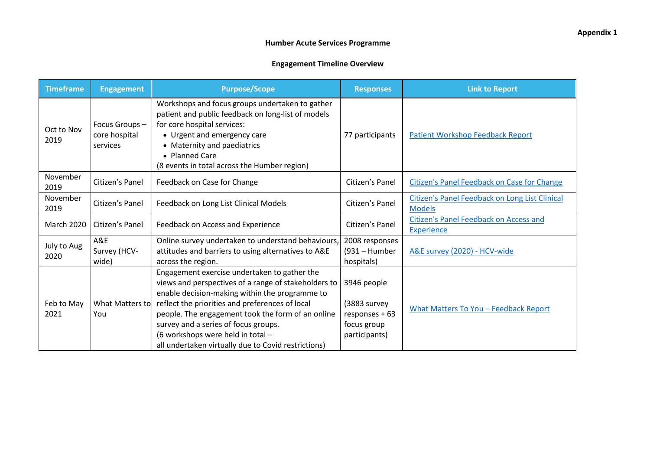| <b>Timeframe</b>    | <b>Engagement</b>                          | <b>Purpose/Scope</b>                                                                                                                                                                                                                                                                                                                                                                               | <b>Responses</b>                                                                 | <b>Link to Report</b>                                              |
|---------------------|--------------------------------------------|----------------------------------------------------------------------------------------------------------------------------------------------------------------------------------------------------------------------------------------------------------------------------------------------------------------------------------------------------------------------------------------------------|----------------------------------------------------------------------------------|--------------------------------------------------------------------|
| Oct to Nov<br>2019  | Focus Groups-<br>core hospital<br>services | Workshops and focus groups undertaken to gather<br>patient and public feedback on long-list of models<br>for core hospital services:<br>• Urgent and emergency care<br>• Maternity and paediatrics<br>• Planned Care<br>(8 events in total across the Humber region)                                                                                                                               | 77 participants                                                                  | <b>Patient Workshop Feedback Report</b>                            |
| November<br>2019    | Citizen's Panel                            | Feedback on Case for Change                                                                                                                                                                                                                                                                                                                                                                        | Citizen's Panel                                                                  | <b>Citizen's Panel Feedback on Case for Change</b>                 |
| November<br>2019    | Citizen's Panel                            | Feedback on Long List Clinical Models                                                                                                                                                                                                                                                                                                                                                              | Citizen's Panel                                                                  | Citizen's Panel Feedback on Long List Clinical<br><b>Models</b>    |
| <b>March 2020</b>   | Citizen's Panel                            | Feedback on Access and Experience                                                                                                                                                                                                                                                                                                                                                                  | Citizen's Panel                                                                  | <b>Citizen's Panel Feedback on Access and</b><br><b>Experience</b> |
| July to Aug<br>2020 | A&E<br>Survey (HCV-<br>wide)               | Online survey undertaken to understand behaviours,<br>attitudes and barriers to using alternatives to A&E<br>across the region.                                                                                                                                                                                                                                                                    | 2008 responses<br>(931 - Humber<br>hospitals)                                    | A&E survey (2020) - HCV-wide                                       |
| Feb to May<br>2021  | What Matters to<br>You                     | Engagement exercise undertaken to gather the<br>views and perspectives of a range of stakeholders to<br>enable decision-making within the programme to<br>reflect the priorities and preferences of local<br>people. The engagement took the form of an online<br>survey and a series of focus groups.<br>(6 workshops were held in total -<br>all undertaken virtually due to Covid restrictions) | 3946 people<br>(3883 survey<br>$responents + 63$<br>focus group<br>participants) | What Matters To You - Feedback Report                              |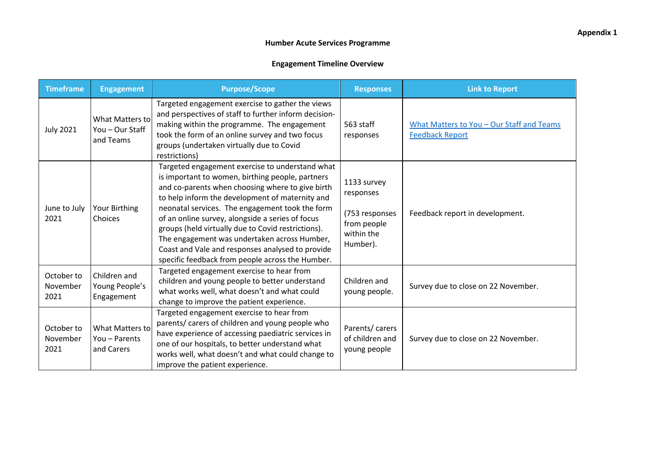| <b>Timeframe</b>               | <b>Engagement</b>                                      | <b>Purpose/Scope</b>                                                                                                                                                                                                                                                                                                                                                                                                                                                                                                            | <b>Responses</b>                                                                    | <b>Link to Report</b>                                               |
|--------------------------------|--------------------------------------------------------|---------------------------------------------------------------------------------------------------------------------------------------------------------------------------------------------------------------------------------------------------------------------------------------------------------------------------------------------------------------------------------------------------------------------------------------------------------------------------------------------------------------------------------|-------------------------------------------------------------------------------------|---------------------------------------------------------------------|
| <b>July 2021</b>               | <b>What Matters to</b><br>You - Our Staff<br>and Teams | Targeted engagement exercise to gather the views<br>and perspectives of staff to further inform decision-<br>making within the programme. The engagement<br>took the form of an online survey and two focus<br>groups (undertaken virtually due to Covid<br>restrictions)                                                                                                                                                                                                                                                       | 563 staff<br>responses                                                              | What Matters to You - Our Staff and Teams<br><b>Feedback Report</b> |
| June to July<br>2021           | Your Birthing<br>Choices                               | Targeted engagement exercise to understand what<br>is important to women, birthing people, partners<br>and co-parents when choosing where to give birth<br>to help inform the development of maternity and<br>neonatal services. The engagement took the form<br>of an online survey, alongside a series of focus<br>groups (held virtually due to Covid restrictions).<br>The engagement was undertaken across Humber,<br>Coast and Vale and responses analysed to provide<br>specific feedback from people across the Humber. | 1133 survey<br>responses<br>(753 responses<br>from people<br>within the<br>Humber). | Feedback report in development.                                     |
| October to<br>November<br>2021 | Children and<br>Young People's<br>Engagement           | Targeted engagement exercise to hear from<br>children and young people to better understand<br>what works well, what doesn't and what could<br>change to improve the patient experience.                                                                                                                                                                                                                                                                                                                                        | Children and<br>young people.                                                       | Survey due to close on 22 November.                                 |
| October to<br>November<br>2021 | <b>What Matters to</b><br>You - Parents<br>and Carers  | Targeted engagement exercise to hear from<br>parents/ carers of children and young people who<br>have experience of accessing paediatric services in<br>one of our hospitals, to better understand what<br>works well, what doesn't and what could change to<br>improve the patient experience.                                                                                                                                                                                                                                 | Parents/ carers<br>of children and<br>young people                                  | Survey due to close on 22 November.                                 |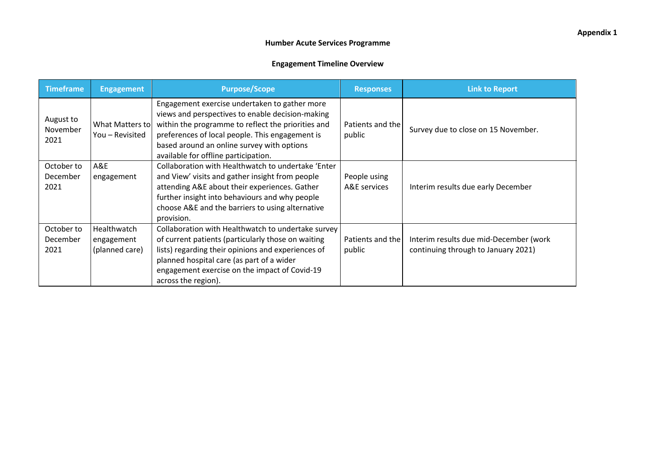| <b>Timeframe</b>               | <b>Engagement</b>                           | <b>Purpose/Scope</b>                                                                                                                                                                                                                                                                             | <b>Responses</b>             | <b>Link to Report</b>                                                         |
|--------------------------------|---------------------------------------------|--------------------------------------------------------------------------------------------------------------------------------------------------------------------------------------------------------------------------------------------------------------------------------------------------|------------------------------|-------------------------------------------------------------------------------|
| August to<br>November<br>2021  | What Matters to<br>You - Revisited          | Engagement exercise undertaken to gather more<br>views and perspectives to enable decision-making<br>within the programme to reflect the priorities and<br>preferences of local people. This engagement is<br>based around an online survey with options<br>available for offline participation. | Patients and the<br>public   | Survey due to close on 15 November.                                           |
| October to<br>December<br>2021 | A&E<br>engagement                           | Collaboration with Healthwatch to undertake 'Enter<br>and View' visits and gather insight from people<br>attending A&E about their experiences. Gather<br>further insight into behaviours and why people<br>choose A&E and the barriers to using alternative<br>provision.                       | People using<br>A&E services | Interim results due early December                                            |
| October to<br>December<br>2021 | Healthwatch<br>engagement<br>(planned care) | Collaboration with Healthwatch to undertake survey<br>of current patients (particularly those on waiting<br>lists) regarding their opinions and experiences of<br>planned hospital care (as part of a wider<br>engagement exercise on the impact of Covid-19<br>across the region).              | Patients and the<br>public   | Interim results due mid-December (work<br>continuing through to January 2021) |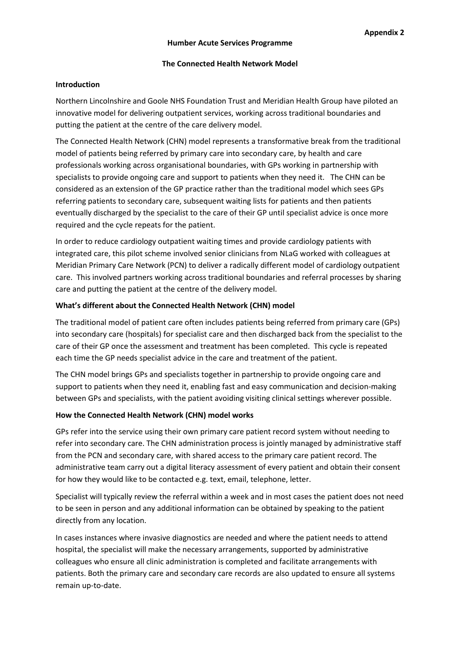#### **The Connected Health Network Model**

#### **Introduction**

Northern Lincolnshire and Goole NHS Foundation Trust and Meridian Health Group have piloted an innovative model for delivering outpatient services, working across traditional boundaries and putting the patient at the centre of the care delivery model.

The Connected Health Network (CHN) model represents a transformative break from the traditional model of patients being referred by primary care into secondary care, by health and care professionals working across organisational boundaries, with GPs working in partnership with specialists to provide ongoing care and support to patients when they need it. The CHN can be considered as an extension of the GP practice rather than the traditional model which sees GPs referring patients to secondary care, subsequent waiting lists for patients and then patients eventually discharged by the specialist to the care of their GP until specialist advice is once more required and the cycle repeats for the patient.

In order to reduce cardiology outpatient waiting times and provide cardiology patients with integrated care, this pilot scheme involved senior clinicians from NLaG worked with colleagues at Meridian Primary Care Network (PCN) to deliver a radically different model of cardiology outpatient care. This involved partners working across traditional boundaries and referral processes by sharing care and putting the patient at the centre of the delivery model.

#### **What's different about the Connected Health Network (CHN) model**

The traditional model of patient care often includes patients being referred from primary care (GPs) into secondary care (hospitals) for specialist care and then discharged back from the specialist to the care of their GP once the assessment and treatment has been completed. This cycle is repeated each time the GP needs specialist advice in the care and treatment of the patient.

The CHN model brings GPs and specialists together in partnership to provide ongoing care and support to patients when they need it, enabling fast and easy communication and decision-making between GPs and specialists, with the patient avoiding visiting clinical settings wherever possible.

#### **How the Connected Health Network (CHN) model works**

GPs refer into the service using their own primary care patient record system without needing to refer into secondary care. The CHN administration process is jointly managed by administrative staff from the PCN and secondary care, with shared access to the primary care patient record. The administrative team carry out a digital literacy assessment of every patient and obtain their consent for how they would like to be contacted e.g. text, email, telephone, letter.

Specialist will typically review the referral within a week and in most cases the patient does not need to be seen in person and any additional information can be obtained by speaking to the patient directly from any location.

In cases instances where invasive diagnostics are needed and where the patient needs to attend hospital, the specialist will make the necessary arrangements, supported by administrative colleagues who ensure all clinic administration is completed and facilitate arrangements with patients. Both the primary care and secondary care records are also updated to ensure all systems remain up-to-date.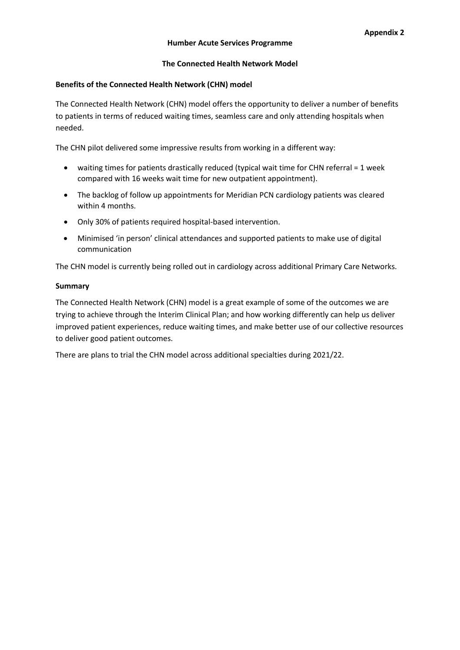#### **The Connected Health Network Model**

#### **Benefits of the Connected Health Network (CHN) model**

The Connected Health Network (CHN) model offers the opportunity to deliver a number of benefits to patients in terms of reduced waiting times, seamless care and only attending hospitals when needed.

The CHN pilot delivered some impressive results from working in a different way:

- waiting times for patients drastically reduced (typical wait time for CHN referral = 1 week compared with 16 weeks wait time for new outpatient appointment).
- The backlog of follow up appointments for Meridian PCN cardiology patients was cleared within 4 months.
- Only 30% of patients required hospital-based intervention.
- Minimised 'in person' clinical attendances and supported patients to make use of digital communication

The CHN model is currently being rolled out in cardiology across additional Primary Care Networks.

#### **Summary**

The Connected Health Network (CHN) model is a great example of some of the outcomes we are trying to achieve through the Interim Clinical Plan; and how working differently can help us deliver improved patient experiences, reduce waiting times, and make better use of our collective resources to deliver good patient outcomes.

There are plans to trial the CHN model across additional specialties during 2021/22.